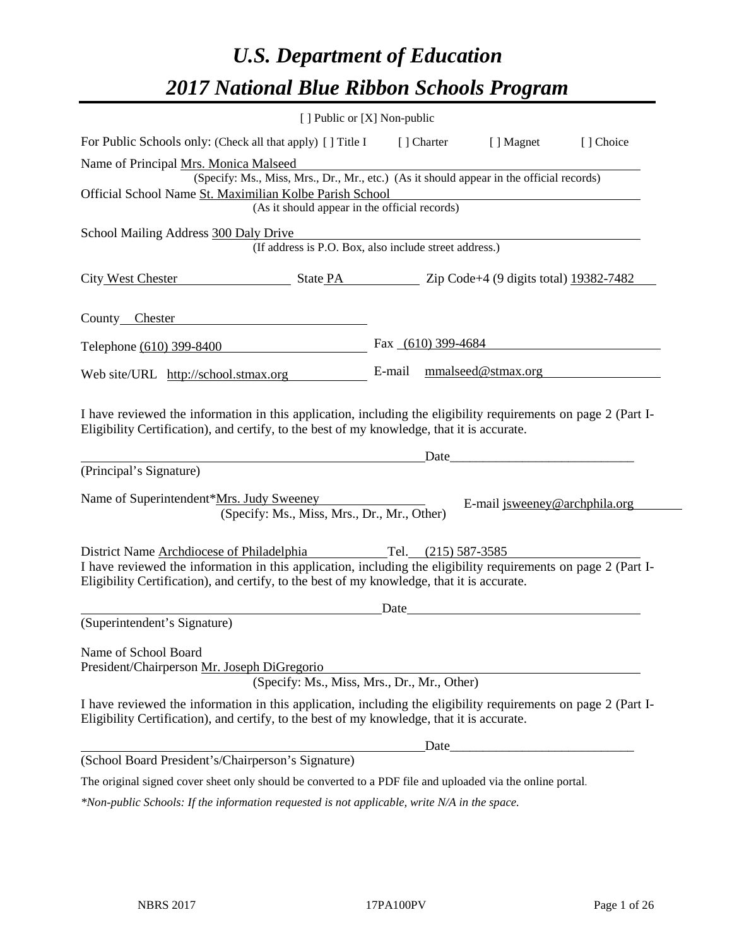# *U.S. Department of Education 2017 National Blue Ribbon Schools Program*

|                                                                                                                                                                                                              | [ ] Public or [X] Non-public                           |        |             |                                                                                                                                                                                                                                |           |
|--------------------------------------------------------------------------------------------------------------------------------------------------------------------------------------------------------------|--------------------------------------------------------|--------|-------------|--------------------------------------------------------------------------------------------------------------------------------------------------------------------------------------------------------------------------------|-----------|
| For Public Schools only: (Check all that apply) [] Title I                                                                                                                                                   |                                                        |        | [ ] Charter | [ ] Magnet                                                                                                                                                                                                                     | [] Choice |
| Name of Principal Mrs. Monica Malseed                                                                                                                                                                        |                                                        |        |             |                                                                                                                                                                                                                                |           |
| (Specify: Ms., Miss, Mrs., Dr., Mr., etc.) (As it should appear in the official records)                                                                                                                     |                                                        |        |             |                                                                                                                                                                                                                                |           |
| Official School Name St. Maximilian Kolbe Parish School                                                                                                                                                      | (As it should appear in the official records)          |        |             |                                                                                                                                                                                                                                |           |
|                                                                                                                                                                                                              |                                                        |        |             |                                                                                                                                                                                                                                |           |
| School Mailing Address 300 Daly Drive                                                                                                                                                                        | (If address is P.O. Box, also include street address.) |        |             |                                                                                                                                                                                                                                |           |
|                                                                                                                                                                                                              |                                                        |        |             |                                                                                                                                                                                                                                |           |
|                                                                                                                                                                                                              |                                                        |        |             |                                                                                                                                                                                                                                |           |
|                                                                                                                                                                                                              |                                                        |        |             |                                                                                                                                                                                                                                |           |
| County Chester                                                                                                                                                                                               |                                                        |        |             |                                                                                                                                                                                                                                |           |
| Telephone (610) 399-8400                                                                                                                                                                                     |                                                        |        |             | Fax $(610)$ 399-4684                                                                                                                                                                                                           |           |
| Web site/URL http://school.stmax.org                                                                                                                                                                         |                                                        | E-mail |             | mmalseed@stmax.org                                                                                                                                                                                                             |           |
|                                                                                                                                                                                                              |                                                        |        |             |                                                                                                                                                                                                                                |           |
| I have reviewed the information in this application, including the eligibility requirements on page 2 (Part I-<br>Eligibility Certification), and certify, to the best of my knowledge, that it is accurate. |                                                        |        |             |                                                                                                                                                                                                                                |           |
|                                                                                                                                                                                                              |                                                        |        |             | Date and the contract of the contract of the contract of the contract of the contract of the contract of the contract of the contract of the contract of the contract of the contract of the contract of the contract of the c |           |
| (Principal's Signature)                                                                                                                                                                                      |                                                        |        |             |                                                                                                                                                                                                                                |           |
| Name of Superintendent*Mrs. Judy Sweeney                                                                                                                                                                     | (Specify: Ms., Miss, Mrs., Dr., Mr., Other)            |        |             | E-mail jsweeney@archphila.org                                                                                                                                                                                                  |           |
|                                                                                                                                                                                                              |                                                        |        |             |                                                                                                                                                                                                                                |           |
| District Name Archdiocese of Philadelphia<br>Tel. $(215)$ 587-3585                                                                                                                                           |                                                        |        |             |                                                                                                                                                                                                                                |           |
| I have reviewed the information in this application, including the eligibility requirements on page 2 (Part I-                                                                                               |                                                        |        |             |                                                                                                                                                                                                                                |           |
| Eligibility Certification), and certify, to the best of my knowledge, that it is accurate.                                                                                                                   |                                                        |        |             |                                                                                                                                                                                                                                |           |
|                                                                                                                                                                                                              |                                                        |        |             |                                                                                                                                                                                                                                |           |
| (Superintendent's Signature)                                                                                                                                                                                 |                                                        |        |             |                                                                                                                                                                                                                                |           |
| Name of School Board                                                                                                                                                                                         |                                                        |        |             |                                                                                                                                                                                                                                |           |
|                                                                                                                                                                                                              | President/Chairperson Mr. Joseph DiGregorio            |        |             |                                                                                                                                                                                                                                |           |
|                                                                                                                                                                                                              | (Specify: Ms., Miss, Mrs., Dr., Mr., Other)            |        |             |                                                                                                                                                                                                                                |           |
| I have reviewed the information in this application, including the eligibility requirements on page 2 (Part I-<br>Eligibility Certification), and certify, to the best of my knowledge, that it is accurate. |                                                        |        |             |                                                                                                                                                                                                                                |           |
|                                                                                                                                                                                                              | Date                                                   |        |             |                                                                                                                                                                                                                                |           |
| (School Board President's/Chairperson's Signature)                                                                                                                                                           |                                                        |        |             |                                                                                                                                                                                                                                |           |
| The original signed cover sheet only should be converted to a PDF file and uploaded via the online portal.                                                                                                   |                                                        |        |             |                                                                                                                                                                                                                                |           |
| *Non-public Schools: If the information requested is not applicable, write N/A in the space.                                                                                                                 |                                                        |        |             |                                                                                                                                                                                                                                |           |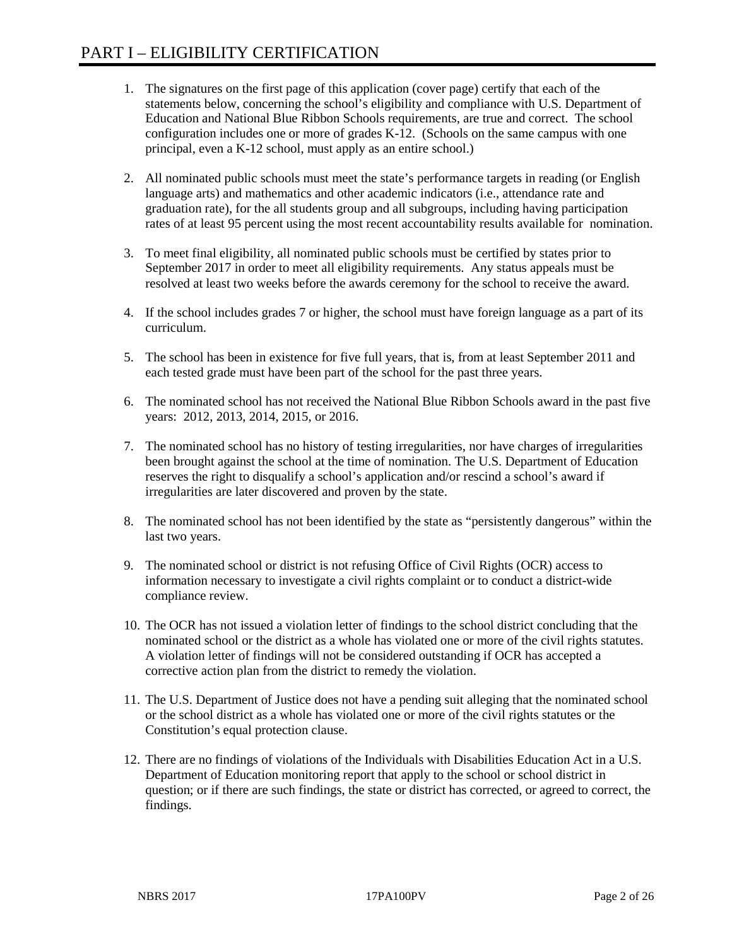- 1. The signatures on the first page of this application (cover page) certify that each of the statements below, concerning the school's eligibility and compliance with U.S. Department of Education and National Blue Ribbon Schools requirements, are true and correct. The school configuration includes one or more of grades K-12. (Schools on the same campus with one principal, even a K-12 school, must apply as an entire school.)
- 2. All nominated public schools must meet the state's performance targets in reading (or English language arts) and mathematics and other academic indicators (i.e., attendance rate and graduation rate), for the all students group and all subgroups, including having participation rates of at least 95 percent using the most recent accountability results available for nomination.
- 3. To meet final eligibility, all nominated public schools must be certified by states prior to September 2017 in order to meet all eligibility requirements. Any status appeals must be resolved at least two weeks before the awards ceremony for the school to receive the award.
- 4. If the school includes grades 7 or higher, the school must have foreign language as a part of its curriculum.
- 5. The school has been in existence for five full years, that is, from at least September 2011 and each tested grade must have been part of the school for the past three years.
- 6. The nominated school has not received the National Blue Ribbon Schools award in the past five years: 2012, 2013, 2014, 2015, or 2016.
- 7. The nominated school has no history of testing irregularities, nor have charges of irregularities been brought against the school at the time of nomination. The U.S. Department of Education reserves the right to disqualify a school's application and/or rescind a school's award if irregularities are later discovered and proven by the state.
- 8. The nominated school has not been identified by the state as "persistently dangerous" within the last two years.
- 9. The nominated school or district is not refusing Office of Civil Rights (OCR) access to information necessary to investigate a civil rights complaint or to conduct a district-wide compliance review.
- 10. The OCR has not issued a violation letter of findings to the school district concluding that the nominated school or the district as a whole has violated one or more of the civil rights statutes. A violation letter of findings will not be considered outstanding if OCR has accepted a corrective action plan from the district to remedy the violation.
- 11. The U.S. Department of Justice does not have a pending suit alleging that the nominated school or the school district as a whole has violated one or more of the civil rights statutes or the Constitution's equal protection clause.
- 12. There are no findings of violations of the Individuals with Disabilities Education Act in a U.S. Department of Education monitoring report that apply to the school or school district in question; or if there are such findings, the state or district has corrected, or agreed to correct, the findings.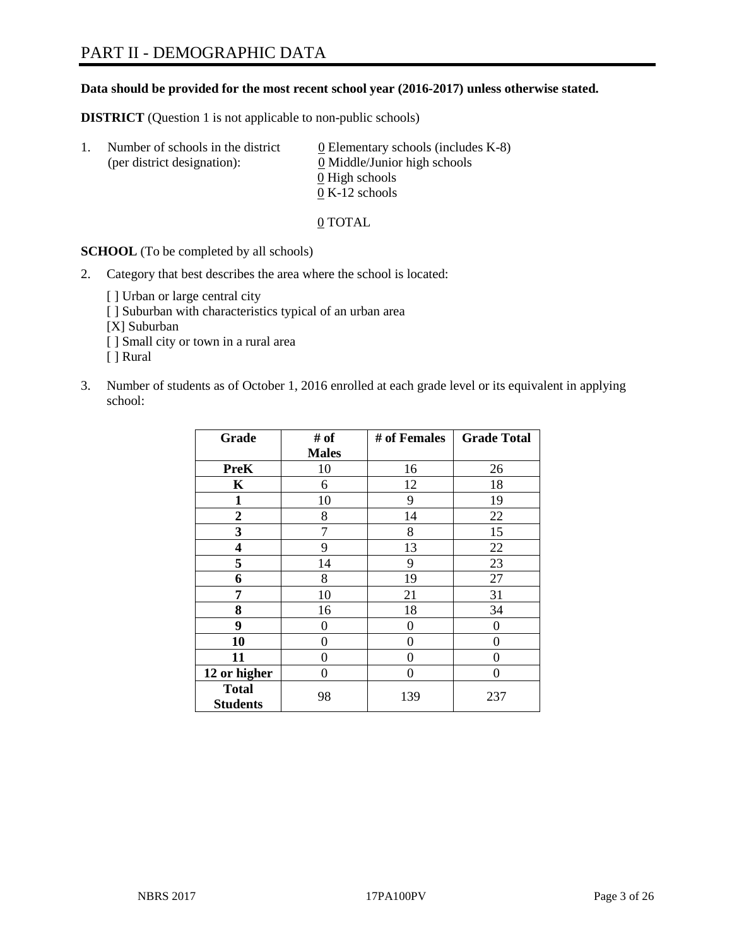# **Data should be provided for the most recent school year (2016-2017) unless otherwise stated.**

**DISTRICT** (Question 1 is not applicable to non-public schools)

| -1. | Number of schools in the district<br>(per district designation): | $\underline{0}$ Elementary schools (includes K-8)<br>0 Middle/Junior high schools |
|-----|------------------------------------------------------------------|-----------------------------------------------------------------------------------|
|     |                                                                  | 0 High schools                                                                    |
|     |                                                                  | $0 K-12$ schools                                                                  |

0 TOTAL

**SCHOOL** (To be completed by all schools)

2. Category that best describes the area where the school is located:

[] Urban or large central city [ ] Suburban with characteristics typical of an urban area [X] Suburban [ ] Small city or town in a rural area [ ] Rural

3. Number of students as of October 1, 2016 enrolled at each grade level or its equivalent in applying school:

| Grade                           | # of         | # of Females | <b>Grade Total</b> |
|---------------------------------|--------------|--------------|--------------------|
|                                 | <b>Males</b> |              |                    |
| <b>PreK</b>                     | 10           | 16           | 26                 |
| K                               | 6            | 12           | 18                 |
| $\mathbf{1}$                    | 10           | 9            | 19                 |
| $\overline{2}$                  | 8            | 14           | 22                 |
| 3                               | 7            | 8            | 15                 |
| $\overline{\mathbf{4}}$         | 9            | 13           | 22                 |
| 5                               | 14           | 9            | 23                 |
| 6                               | 8            | 19           | 27                 |
| 7                               | 10           | 21           | 31                 |
| 8                               | 16           | 18           | 34                 |
| 9                               | 0            | 0            | $\Omega$           |
| 10                              | $\theta$     | 0            | 0                  |
| 11                              | 0            | 0            | 0                  |
| 12 or higher                    | 0            | 0            | $\theta$           |
| <b>Total</b><br><b>Students</b> | 98           | 139          | 237                |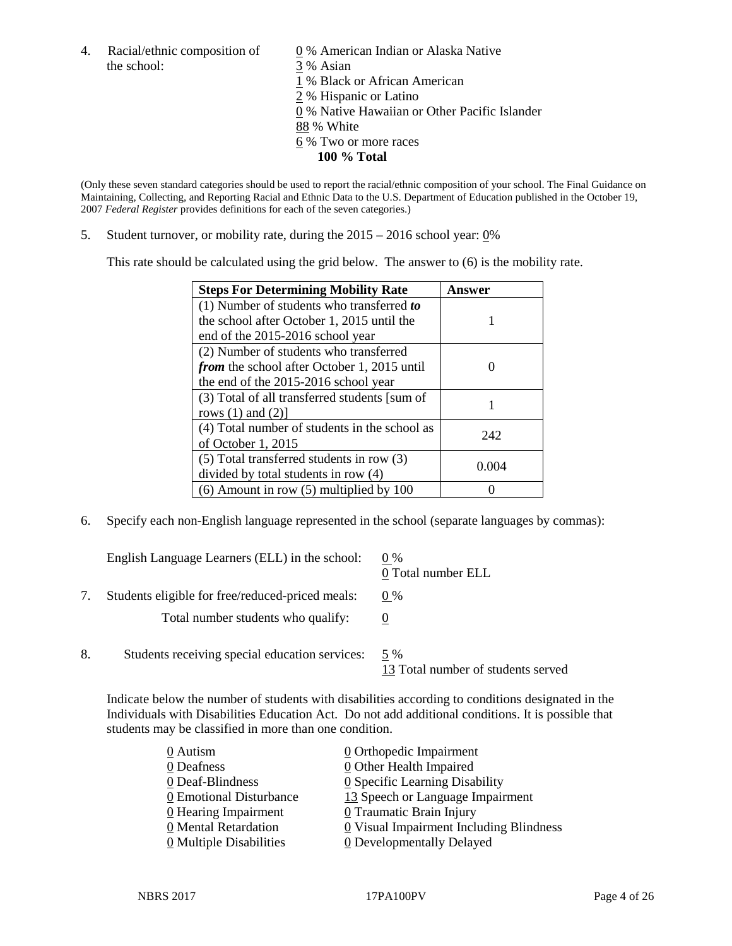4. Racial/ethnic composition of  $\qquad 0\%$  American Indian or Alaska Native the school: 3 % Asian

 % Black or African American % Hispanic or Latino % Native Hawaiian or Other Pacific Islander 88 % White % Two or more races **100 % Total**

(Only these seven standard categories should be used to report the racial/ethnic composition of your school. The Final Guidance on Maintaining, Collecting, and Reporting Racial and Ethnic Data to the U.S. Department of Education published in the October 19, 2007 *Federal Register* provides definitions for each of the seven categories.)

5. Student turnover, or mobility rate, during the 2015 – 2016 school year: 0%

This rate should be calculated using the grid below. The answer to (6) is the mobility rate.

| <b>Steps For Determining Mobility Rate</b>         | Answer |
|----------------------------------------------------|--------|
| $(1)$ Number of students who transferred to        |        |
| the school after October 1, 2015 until the         |        |
| end of the 2015-2016 school year                   |        |
| (2) Number of students who transferred             |        |
| <i>from</i> the school after October 1, 2015 until |        |
| the end of the 2015-2016 school year               |        |
| (3) Total of all transferred students [sum of      |        |
| rows $(1)$ and $(2)$ ]                             |        |
| (4) Total number of students in the school as      | 242    |
| of October 1, 2015                                 |        |
| $(5)$ Total transferred students in row $(3)$      | 0.004  |
| divided by total students in row (4)               |        |
| $(6)$ Amount in row $(5)$ multiplied by 100        |        |

6. Specify each non-English language represented in the school (separate languages by commas):

|    | English Language Learners (ELL) in the school:   | $0\%$<br>0 Total number ELL               |
|----|--------------------------------------------------|-------------------------------------------|
|    | Students eligible for free/reduced-priced meals: | $0\%$                                     |
|    | Total number students who qualify:               |                                           |
| 8. | Students receiving special education services:   | 5 %<br>13 Total number of students served |

Indicate below the number of students with disabilities according to conditions designated in the Individuals with Disabilities Education Act. Do not add additional conditions. It is possible that students may be classified in more than one condition.

| 0 Autism                              | 0 Orthopedic Impairment                 |
|---------------------------------------|-----------------------------------------|
| 0 Deafness                            | 0 Other Health Impaired                 |
| 0 Deaf-Blindness                      | 0 Specific Learning Disability          |
| 0 Emotional Disturbance               | 13 Speech or Language Impairment        |
| $\underline{0}$ Hearing Impairment    | 0 Traumatic Brain Injury                |
| 0 Mental Retardation                  | 0 Visual Impairment Including Blindness |
| $\underline{0}$ Multiple Disabilities | <b>0</b> Developmentally Delayed        |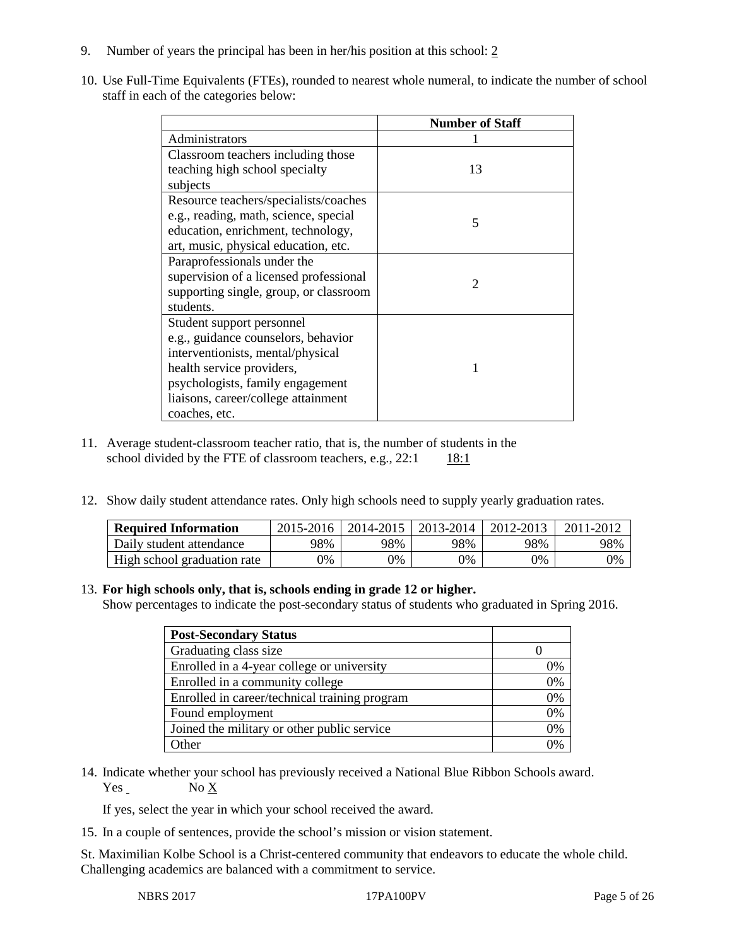- 9. Number of years the principal has been in her/his position at this school: 2
- 10. Use Full-Time Equivalents (FTEs), rounded to nearest whole numeral, to indicate the number of school staff in each of the categories below:

|                                        | <b>Number of Staff</b> |
|----------------------------------------|------------------------|
| Administrators                         |                        |
| Classroom teachers including those     |                        |
| teaching high school specialty         | 13                     |
| subjects                               |                        |
| Resource teachers/specialists/coaches  |                        |
| e.g., reading, math, science, special  | 5                      |
| education, enrichment, technology,     |                        |
| art, music, physical education, etc.   |                        |
| Paraprofessionals under the            |                        |
| supervision of a licensed professional | $\mathfrak{D}$         |
| supporting single, group, or classroom |                        |
| students.                              |                        |
| Student support personnel              |                        |
| e.g., guidance counselors, behavior    |                        |
| interventionists, mental/physical      |                        |
| health service providers,              |                        |
| psychologists, family engagement       |                        |
| liaisons, career/college attainment    |                        |
| coaches, etc.                          |                        |

- 11. Average student-classroom teacher ratio, that is, the number of students in the school divided by the FTE of classroom teachers, e.g.,  $22:1$  18:1
- 12. Show daily student attendance rates. Only high schools need to supply yearly graduation rates.

| <b>Required Information</b> | $2015 - 2016$ |     | 2014-2015   2013-2014 | 2012-2013 | 2011-2012 |
|-----------------------------|---------------|-----|-----------------------|-----------|-----------|
| Daily student attendance    | 98%           | 98% | 98%                   | 98%       | 98%       |
| High school graduation rate | 9%            | 0%  | 0%                    | 9%        | 0%        |

## 13. **For high schools only, that is, schools ending in grade 12 or higher.**

Show percentages to indicate the post-secondary status of students who graduated in Spring 2016.

| <b>Post-Secondary Status</b>                  |    |
|-----------------------------------------------|----|
| Graduating class size                         |    |
| Enrolled in a 4-year college or university    | 0% |
| Enrolled in a community college               | 0% |
| Enrolled in career/technical training program | 0% |
| Found employment                              | 0% |
| Joined the military or other public service   | 0% |
| )ther                                         | በ% |

14. Indicate whether your school has previously received a National Blue Ribbon Schools award. Yes No X

If yes, select the year in which your school received the award.

15. In a couple of sentences, provide the school's mission or vision statement.

St. Maximilian Kolbe School is a Christ-centered community that endeavors to educate the whole child. Challenging academics are balanced with a commitment to service.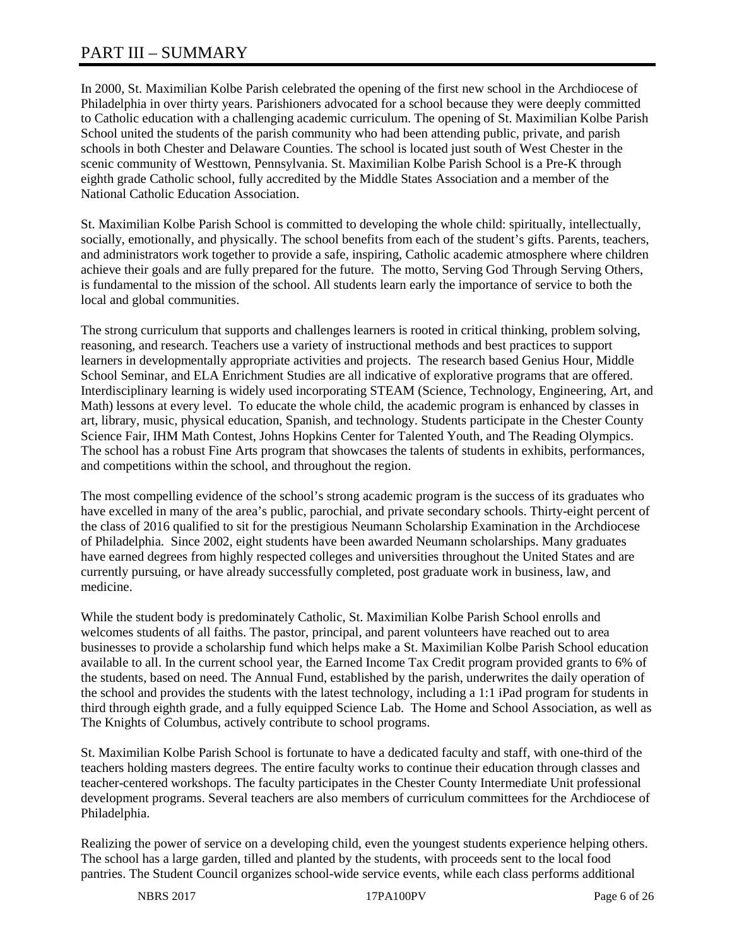# PART III – SUMMARY

In 2000, St. Maximilian Kolbe Parish celebrated the opening of the first new school in the Archdiocese of Philadelphia in over thirty years. Parishioners advocated for a school because they were deeply committed to Catholic education with a challenging academic curriculum. The opening of St. Maximilian Kolbe Parish School united the students of the parish community who had been attending public, private, and parish schools in both Chester and Delaware Counties. The school is located just south of West Chester in the scenic community of Westtown, Pennsylvania. St. Maximilian Kolbe Parish School is a Pre-K through eighth grade Catholic school, fully accredited by the Middle States Association and a member of the National Catholic Education Association.

St. Maximilian Kolbe Parish School is committed to developing the whole child: spiritually, intellectually, socially, emotionally, and physically. The school benefits from each of the student's gifts. Parents, teachers, and administrators work together to provide a safe, inspiring, Catholic academic atmosphere where children achieve their goals and are fully prepared for the future. The motto, Serving God Through Serving Others, is fundamental to the mission of the school. All students learn early the importance of service to both the local and global communities.

The strong curriculum that supports and challenges learners is rooted in critical thinking, problem solving, reasoning, and research. Teachers use a variety of instructional methods and best practices to support learners in developmentally appropriate activities and projects. The research based Genius Hour, Middle School Seminar, and ELA Enrichment Studies are all indicative of explorative programs that are offered. Interdisciplinary learning is widely used incorporating STEAM (Science, Technology, Engineering, Art, and Math) lessons at every level. To educate the whole child, the academic program is enhanced by classes in art, library, music, physical education, Spanish, and technology. Students participate in the Chester County Science Fair, IHM Math Contest, Johns Hopkins Center for Talented Youth, and The Reading Olympics. The school has a robust Fine Arts program that showcases the talents of students in exhibits, performances, and competitions within the school, and throughout the region.

The most compelling evidence of the school's strong academic program is the success of its graduates who have excelled in many of the area's public, parochial, and private secondary schools. Thirty-eight percent of the class of 2016 qualified to sit for the prestigious Neumann Scholarship Examination in the Archdiocese of Philadelphia. Since 2002, eight students have been awarded Neumann scholarships. Many graduates have earned degrees from highly respected colleges and universities throughout the United States and are currently pursuing, or have already successfully completed, post graduate work in business, law, and medicine.

While the student body is predominately Catholic, St. Maximilian Kolbe Parish School enrolls and welcomes students of all faiths. The pastor, principal, and parent volunteers have reached out to area businesses to provide a scholarship fund which helps make a St. Maximilian Kolbe Parish School education available to all. In the current school year, the Earned Income Tax Credit program provided grants to 6% of the students, based on need. The Annual Fund, established by the parish, underwrites the daily operation of the school and provides the students with the latest technology, including a 1:1 iPad program for students in third through eighth grade, and a fully equipped Science Lab. The Home and School Association, as well as The Knights of Columbus, actively contribute to school programs.

St. Maximilian Kolbe Parish School is fortunate to have a dedicated faculty and staff, with one-third of the teachers holding masters degrees. The entire faculty works to continue their education through classes and teacher-centered workshops. The faculty participates in the Chester County Intermediate Unit professional development programs. Several teachers are also members of curriculum committees for the Archdiocese of Philadelphia.

Realizing the power of service on a developing child, even the youngest students experience helping others. The school has a large garden, tilled and planted by the students, with proceeds sent to the local food pantries. The Student Council organizes school-wide service events, while each class performs additional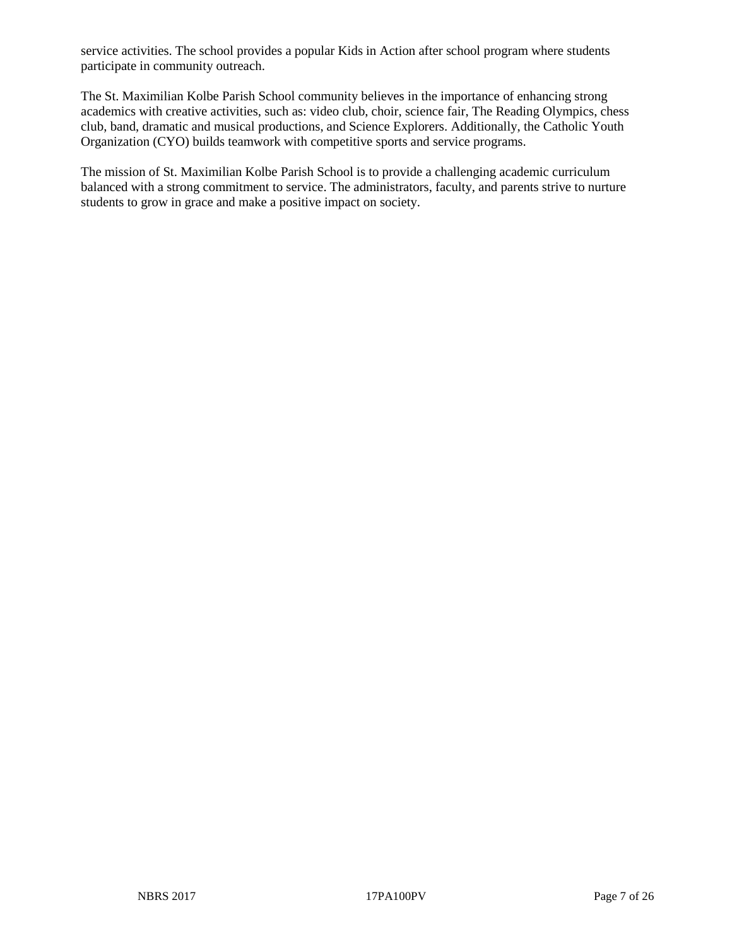service activities. The school provides a popular Kids in Action after school program where students participate in community outreach.

The St. Maximilian Kolbe Parish School community believes in the importance of enhancing strong academics with creative activities, such as: video club, choir, science fair, The Reading Olympics, chess club, band, dramatic and musical productions, and Science Explorers. Additionally, the Catholic Youth Organization (CYO) builds teamwork with competitive sports and service programs.

The mission of St. Maximilian Kolbe Parish School is to provide a challenging academic curriculum balanced with a strong commitment to service. The administrators, faculty, and parents strive to nurture students to grow in grace and make a positive impact on society.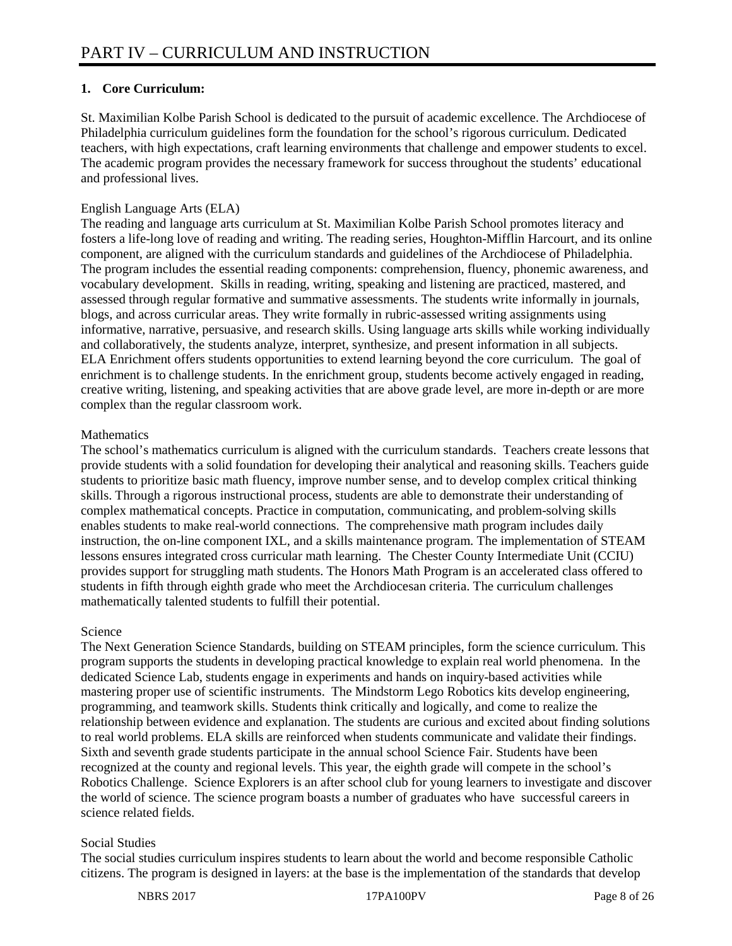# **1. Core Curriculum:**

St. Maximilian Kolbe Parish School is dedicated to the pursuit of academic excellence. The Archdiocese of Philadelphia curriculum guidelines form the foundation for the school's rigorous curriculum. Dedicated teachers, with high expectations, craft learning environments that challenge and empower students to excel. The academic program provides the necessary framework for success throughout the students' educational and professional lives.

# English Language Arts (ELA)

The reading and language arts curriculum at St. Maximilian Kolbe Parish School promotes literacy and fosters a life-long love of reading and writing. The reading series, Houghton-Mifflin Harcourt, and its online component, are aligned with the curriculum standards and guidelines of the Archdiocese of Philadelphia. The program includes the essential reading components: comprehension, fluency, phonemic awareness, and vocabulary development. Skills in reading, writing, speaking and listening are practiced, mastered, and assessed through regular formative and summative assessments. The students write informally in journals, blogs, and across curricular areas. They write formally in rubric-assessed writing assignments using informative, narrative, persuasive, and research skills. Using language arts skills while working individually and collaboratively, the students analyze, interpret, synthesize, and present information in all subjects. ELA Enrichment offers students opportunities to extend learning beyond the core curriculum. The goal of enrichment is to challenge students. In the enrichment group, students become actively engaged in reading, creative writing, listening, and speaking activities that are above grade level, are more in-depth or are more complex than the regular classroom work.

# **Mathematics**

The school's mathematics curriculum is aligned with the curriculum standards. Teachers create lessons that provide students with a solid foundation for developing their analytical and reasoning skills. Teachers guide students to prioritize basic math fluency, improve number sense, and to develop complex critical thinking skills. Through a rigorous instructional process, students are able to demonstrate their understanding of complex mathematical concepts. Practice in computation, communicating, and problem-solving skills enables students to make real-world connections. The comprehensive math program includes daily instruction, the on-line component IXL, and a skills maintenance program. The implementation of STEAM lessons ensures integrated cross curricular math learning. The Chester County Intermediate Unit (CCIU) provides support for struggling math students. The Honors Math Program is an accelerated class offered to students in fifth through eighth grade who meet the Archdiocesan criteria. The curriculum challenges mathematically talented students to fulfill their potential.

## Science

The Next Generation Science Standards, building on STEAM principles, form the science curriculum. This program supports the students in developing practical knowledge to explain real world phenomena. In the dedicated Science Lab, students engage in experiments and hands on inquiry-based activities while mastering proper use of scientific instruments. The Mindstorm Lego Robotics kits develop engineering, programming, and teamwork skills. Students think critically and logically, and come to realize the relationship between evidence and explanation. The students are curious and excited about finding solutions to real world problems. ELA skills are reinforced when students communicate and validate their findings. Sixth and seventh grade students participate in the annual school Science Fair. Students have been recognized at the county and regional levels. This year, the eighth grade will compete in the school's Robotics Challenge. Science Explorers is an after school club for young learners to investigate and discover the world of science. The science program boasts a number of graduates who have successful careers in science related fields.

# Social Studies

The social studies curriculum inspires students to learn about the world and become responsible Catholic citizens. The program is designed in layers: at the base is the implementation of the standards that develop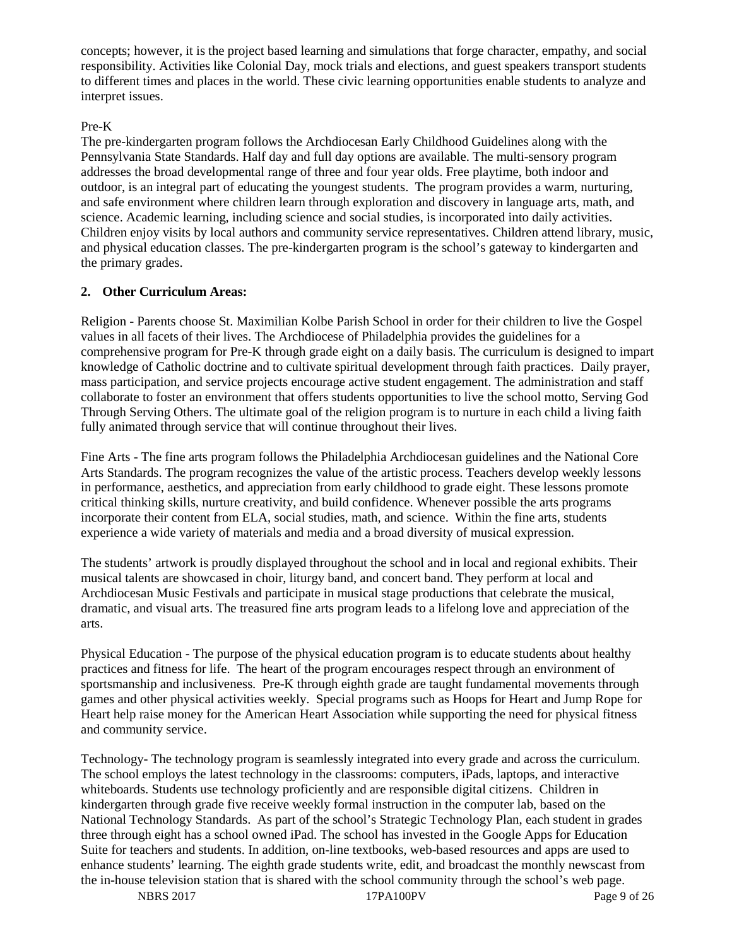concepts; however, it is the project based learning and simulations that forge character, empathy, and social responsibility. Activities like Colonial Day, mock trials and elections, and guest speakers transport students to different times and places in the world. These civic learning opportunities enable students to analyze and interpret issues.

# Pre-K

The pre-kindergarten program follows the Archdiocesan Early Childhood Guidelines along with the Pennsylvania State Standards. Half day and full day options are available. The multi-sensory program addresses the broad developmental range of three and four year olds. Free playtime, both indoor and outdoor, is an integral part of educating the youngest students. The program provides a warm, nurturing, and safe environment where children learn through exploration and discovery in language arts, math, and science. Academic learning, including science and social studies, is incorporated into daily activities. Children enjoy visits by local authors and community service representatives. Children attend library, music, and physical education classes. The pre-kindergarten program is the school's gateway to kindergarten and the primary grades.

# **2. Other Curriculum Areas:**

Religion - Parents choose St. Maximilian Kolbe Parish School in order for their children to live the Gospel values in all facets of their lives. The Archdiocese of Philadelphia provides the guidelines for a comprehensive program for Pre-K through grade eight on a daily basis. The curriculum is designed to impart knowledge of Catholic doctrine and to cultivate spiritual development through faith practices. Daily prayer, mass participation, and service projects encourage active student engagement. The administration and staff collaborate to foster an environment that offers students opportunities to live the school motto, Serving God Through Serving Others. The ultimate goal of the religion program is to nurture in each child a living faith fully animated through service that will continue throughout their lives.

Fine Arts - The fine arts program follows the Philadelphia Archdiocesan guidelines and the National Core Arts Standards. The program recognizes the value of the artistic process. Teachers develop weekly lessons in performance, aesthetics, and appreciation from early childhood to grade eight. These lessons promote critical thinking skills, nurture creativity, and build confidence. Whenever possible the arts programs incorporate their content from ELA, social studies, math, and science. Within the fine arts, students experience a wide variety of materials and media and a broad diversity of musical expression.

The students' artwork is proudly displayed throughout the school and in local and regional exhibits. Their musical talents are showcased in choir, liturgy band, and concert band. They perform at local and Archdiocesan Music Festivals and participate in musical stage productions that celebrate the musical, dramatic, and visual arts. The treasured fine arts program leads to a lifelong love and appreciation of the arts.

Physical Education - The purpose of the physical education program is to educate students about healthy practices and fitness for life. The heart of the program encourages respect through an environment of sportsmanship and inclusiveness. Pre-K through eighth grade are taught fundamental movements through games and other physical activities weekly. Special programs such as Hoops for Heart and Jump Rope for Heart help raise money for the American Heart Association while supporting the need for physical fitness and community service.

Technology- The technology program is seamlessly integrated into every grade and across the curriculum. The school employs the latest technology in the classrooms: computers, iPads, laptops, and interactive whiteboards. Students use technology proficiently and are responsible digital citizens. Children in kindergarten through grade five receive weekly formal instruction in the computer lab, based on the National Technology Standards. As part of the school's Strategic Technology Plan, each student in grades three through eight has a school owned iPad. The school has invested in the Google Apps for Education Suite for teachers and students. In addition, on-line textbooks, web-based resources and apps are used to enhance students' learning. The eighth grade students write, edit, and broadcast the monthly newscast from the in-house television station that is shared with the school community through the school's web page.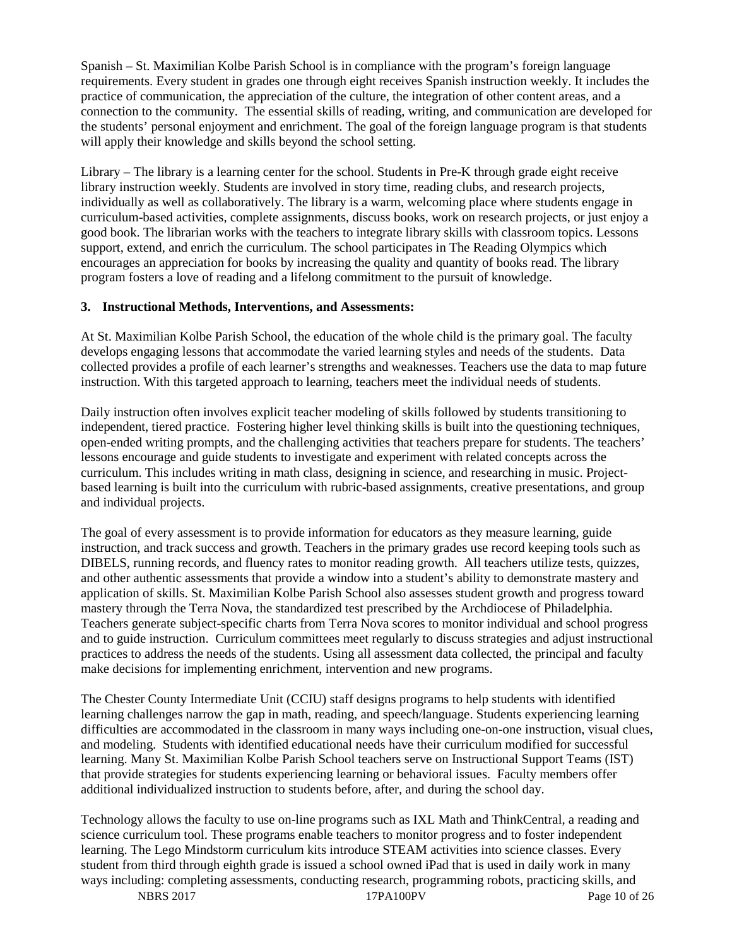Spanish – St. Maximilian Kolbe Parish School is in compliance with the program's foreign language requirements. Every student in grades one through eight receives Spanish instruction weekly. It includes the practice of communication, the appreciation of the culture, the integration of other content areas, and a connection to the community. The essential skills of reading, writing, and communication are developed for the students' personal enjoyment and enrichment. The goal of the foreign language program is that students will apply their knowledge and skills beyond the school setting.

Library – The library is a learning center for the school. Students in Pre-K through grade eight receive library instruction weekly. Students are involved in story time, reading clubs, and research projects, individually as well as collaboratively. The library is a warm, welcoming place where students engage in curriculum-based activities, complete assignments, discuss books, work on research projects, or just enjoy a good book. The librarian works with the teachers to integrate library skills with classroom topics. Lessons support, extend, and enrich the curriculum. The school participates in The Reading Olympics which encourages an appreciation for books by increasing the quality and quantity of books read. The library program fosters a love of reading and a lifelong commitment to the pursuit of knowledge.

## **3. Instructional Methods, Interventions, and Assessments:**

At St. Maximilian Kolbe Parish School, the education of the whole child is the primary goal. The faculty develops engaging lessons that accommodate the varied learning styles and needs of the students. Data collected provides a profile of each learner's strengths and weaknesses. Teachers use the data to map future instruction. With this targeted approach to learning, teachers meet the individual needs of students.

Daily instruction often involves explicit teacher modeling of skills followed by students transitioning to independent, tiered practice. Fostering higher level thinking skills is built into the questioning techniques, open-ended writing prompts, and the challenging activities that teachers prepare for students. The teachers' lessons encourage and guide students to investigate and experiment with related concepts across the curriculum. This includes writing in math class, designing in science, and researching in music. Projectbased learning is built into the curriculum with rubric-based assignments, creative presentations, and group and individual projects.

The goal of every assessment is to provide information for educators as they measure learning, guide instruction, and track success and growth. Teachers in the primary grades use record keeping tools such as DIBELS, running records, and fluency rates to monitor reading growth. All teachers utilize tests, quizzes, and other authentic assessments that provide a window into a student's ability to demonstrate mastery and application of skills. St. Maximilian Kolbe Parish School also assesses student growth and progress toward mastery through the Terra Nova, the standardized test prescribed by the Archdiocese of Philadelphia. Teachers generate subject-specific charts from Terra Nova scores to monitor individual and school progress and to guide instruction. Curriculum committees meet regularly to discuss strategies and adjust instructional practices to address the needs of the students. Using all assessment data collected, the principal and faculty make decisions for implementing enrichment, intervention and new programs.

The Chester County Intermediate Unit (CCIU) staff designs programs to help students with identified learning challenges narrow the gap in math, reading, and speech/language. Students experiencing learning difficulties are accommodated in the classroom in many ways including one-on-one instruction, visual clues, and modeling. Students with identified educational needs have their curriculum modified for successful learning. Many St. Maximilian Kolbe Parish School teachers serve on Instructional Support Teams (IST) that provide strategies for students experiencing learning or behavioral issues. Faculty members offer additional individualized instruction to students before, after, and during the school day.

Technology allows the faculty to use on-line programs such as IXL Math and ThinkCentral, a reading and science curriculum tool. These programs enable teachers to monitor progress and to foster independent learning. The Lego Mindstorm curriculum kits introduce STEAM activities into science classes. Every student from third through eighth grade is issued a school owned iPad that is used in daily work in many ways including: completing assessments, conducting research, programming robots, practicing skills, and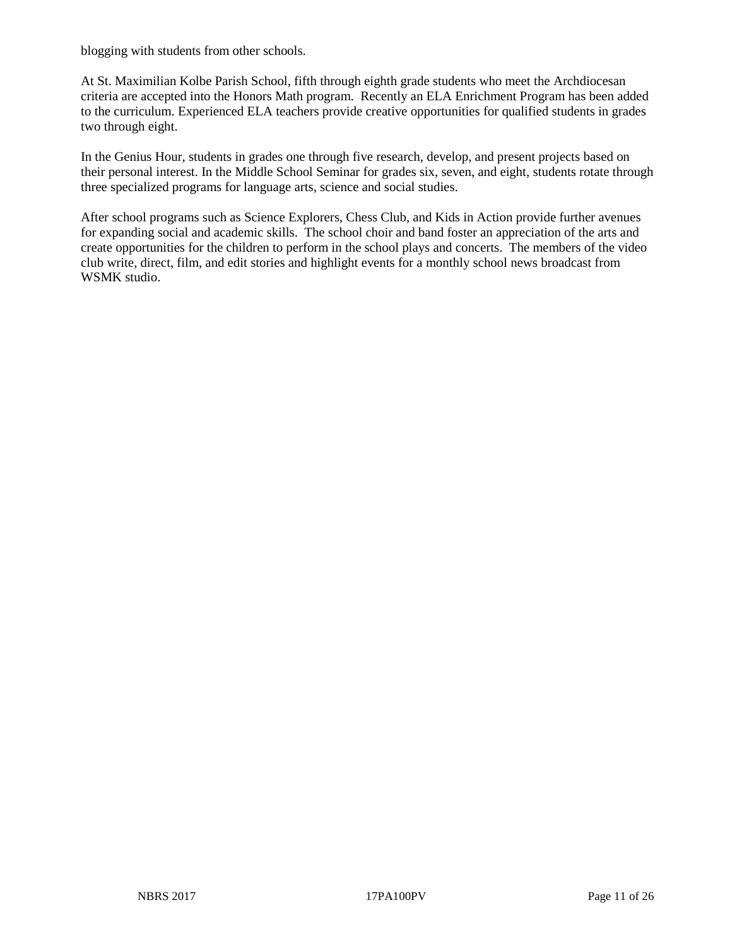blogging with students from other schools.

At St. Maximilian Kolbe Parish School, fifth through eighth grade students who meet the Archdiocesan criteria are accepted into the Honors Math program. Recently an ELA Enrichment Program has been added to the curriculum. Experienced ELA teachers provide creative opportunities for qualified students in grades two through eight.

In the Genius Hour, students in grades one through five research, develop, and present projects based on their personal interest. In the Middle School Seminar for grades six, seven, and eight, students rotate through three specialized programs for language arts, science and social studies.

After school programs such as Science Explorers, Chess Club, and Kids in Action provide further avenues for expanding social and academic skills. The school choir and band foster an appreciation of the arts and create opportunities for the children to perform in the school plays and concerts. The members of the video club write, direct, film, and edit stories and highlight events for a monthly school news broadcast from WSMK studio.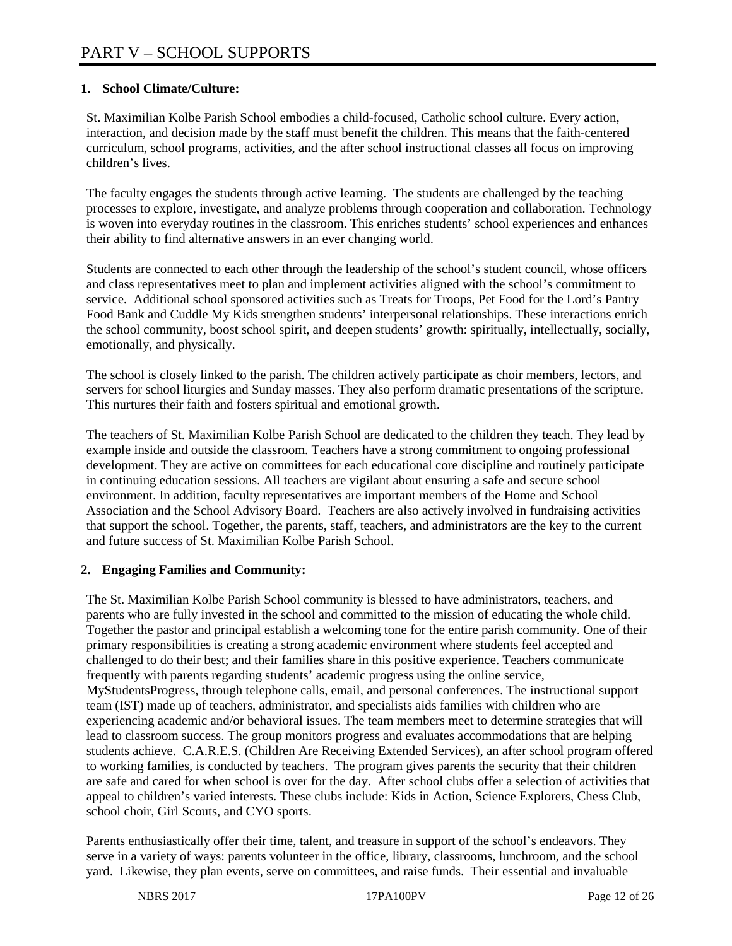# **1. School Climate/Culture:**

St. Maximilian Kolbe Parish School embodies a child-focused, Catholic school culture. Every action, interaction, and decision made by the staff must benefit the children. This means that the faith-centered curriculum, school programs, activities, and the after school instructional classes all focus on improving children's lives.

The faculty engages the students through active learning. The students are challenged by the teaching processes to explore, investigate, and analyze problems through cooperation and collaboration. Technology is woven into everyday routines in the classroom. This enriches students' school experiences and enhances their ability to find alternative answers in an ever changing world.

Students are connected to each other through the leadership of the school's student council, whose officers and class representatives meet to plan and implement activities aligned with the school's commitment to service. Additional school sponsored activities such as Treats for Troops, Pet Food for the Lord's Pantry Food Bank and Cuddle My Kids strengthen students' interpersonal relationships. These interactions enrich the school community, boost school spirit, and deepen students' growth: spiritually, intellectually, socially, emotionally, and physically.

The school is closely linked to the parish. The children actively participate as choir members, lectors, and servers for school liturgies and Sunday masses. They also perform dramatic presentations of the scripture. This nurtures their faith and fosters spiritual and emotional growth.

The teachers of St. Maximilian Kolbe Parish School are dedicated to the children they teach. They lead by example inside and outside the classroom. Teachers have a strong commitment to ongoing professional development. They are active on committees for each educational core discipline and routinely participate in continuing education sessions. All teachers are vigilant about ensuring a safe and secure school environment. In addition, faculty representatives are important members of the Home and School Association and the School Advisory Board. Teachers are also actively involved in fundraising activities that support the school. Together, the parents, staff, teachers, and administrators are the key to the current and future success of St. Maximilian Kolbe Parish School.

# **2. Engaging Families and Community:**

The St. Maximilian Kolbe Parish School community is blessed to have administrators, teachers, and parents who are fully invested in the school and committed to the mission of educating the whole child. Together the pastor and principal establish a welcoming tone for the entire parish community. One of their primary responsibilities is creating a strong academic environment where students feel accepted and challenged to do their best; and their families share in this positive experience. Teachers communicate frequently with parents regarding students' academic progress using the online service, MyStudentsProgress, through telephone calls, email, and personal conferences. The instructional support team (IST) made up of teachers, administrator, and specialists aids families with children who are experiencing academic and/or behavioral issues. The team members meet to determine strategies that will lead to classroom success. The group monitors progress and evaluates accommodations that are helping students achieve. C.A.R.E.S. (Children Are Receiving Extended Services), an after school program offered to working families, is conducted by teachers. The program gives parents the security that their children are safe and cared for when school is over for the day. After school clubs offer a selection of activities that appeal to children's varied interests. These clubs include: Kids in Action, Science Explorers, Chess Club, school choir, Girl Scouts, and CYO sports.

Parents enthusiastically offer their time, talent, and treasure in support of the school's endeavors. They serve in a variety of ways: parents volunteer in the office, library, classrooms, lunchroom, and the school yard. Likewise, they plan events, serve on committees, and raise funds. Their essential and invaluable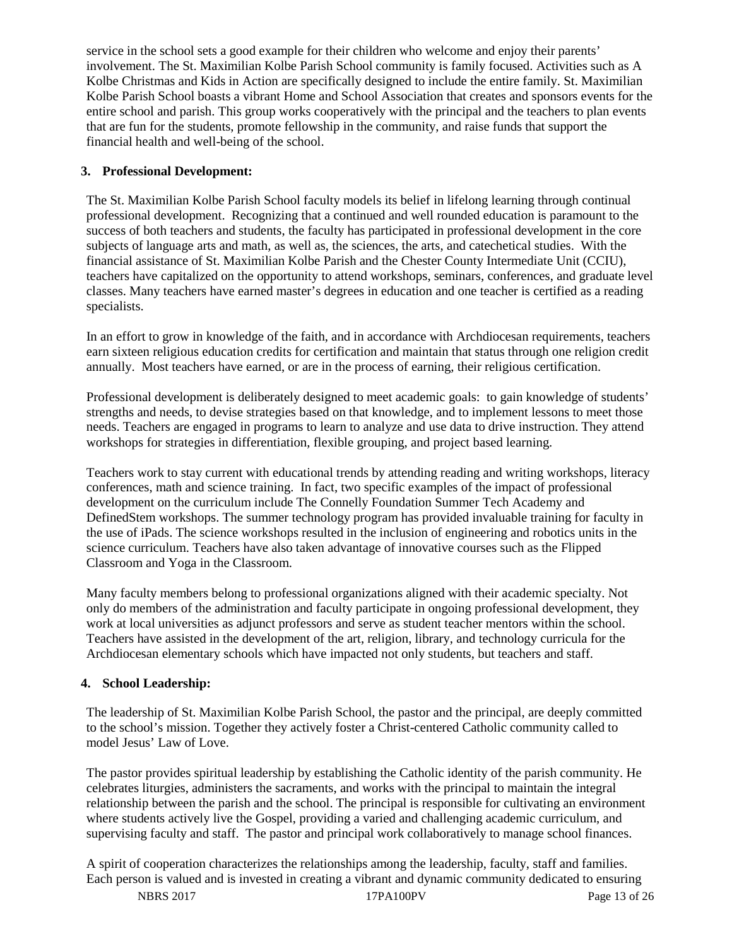service in the school sets a good example for their children who welcome and enjoy their parents' involvement. The St. Maximilian Kolbe Parish School community is family focused. Activities such as A Kolbe Christmas and Kids in Action are specifically designed to include the entire family. St. Maximilian Kolbe Parish School boasts a vibrant Home and School Association that creates and sponsors events for the entire school and parish. This group works cooperatively with the principal and the teachers to plan events that are fun for the students, promote fellowship in the community, and raise funds that support the financial health and well-being of the school.

# **3. Professional Development:**

The St. Maximilian Kolbe Parish School faculty models its belief in lifelong learning through continual professional development. Recognizing that a continued and well rounded education is paramount to the success of both teachers and students, the faculty has participated in professional development in the core subjects of language arts and math, as well as, the sciences, the arts, and catechetical studies. With the financial assistance of St. Maximilian Kolbe Parish and the Chester County Intermediate Unit (CCIU), teachers have capitalized on the opportunity to attend workshops, seminars, conferences, and graduate level classes. Many teachers have earned master's degrees in education and one teacher is certified as a reading specialists.

In an effort to grow in knowledge of the faith, and in accordance with Archdiocesan requirements, teachers earn sixteen religious education credits for certification and maintain that status through one religion credit annually. Most teachers have earned, or are in the process of earning, their religious certification.

Professional development is deliberately designed to meet academic goals: to gain knowledge of students' strengths and needs, to devise strategies based on that knowledge, and to implement lessons to meet those needs. Teachers are engaged in programs to learn to analyze and use data to drive instruction. They attend workshops for strategies in differentiation, flexible grouping, and project based learning.

Teachers work to stay current with educational trends by attending reading and writing workshops, literacy conferences, math and science training. In fact, two specific examples of the impact of professional development on the curriculum include The Connelly Foundation Summer Tech Academy and DefinedStem workshops. The summer technology program has provided invaluable training for faculty in the use of iPads. The science workshops resulted in the inclusion of engineering and robotics units in the science curriculum. Teachers have also taken advantage of innovative courses such as the Flipped Classroom and Yoga in the Classroom.

Many faculty members belong to professional organizations aligned with their academic specialty. Not only do members of the administration and faculty participate in ongoing professional development, they work at local universities as adjunct professors and serve as student teacher mentors within the school. Teachers have assisted in the development of the art, religion, library, and technology curricula for the Archdiocesan elementary schools which have impacted not only students, but teachers and staff.

# **4. School Leadership:**

The leadership of St. Maximilian Kolbe Parish School, the pastor and the principal, are deeply committed to the school's mission. Together they actively foster a Christ-centered Catholic community called to model Jesus' Law of Love.

The pastor provides spiritual leadership by establishing the Catholic identity of the parish community. He celebrates liturgies, administers the sacraments, and works with the principal to maintain the integral relationship between the parish and the school. The principal is responsible for cultivating an environment where students actively live the Gospel, providing a varied and challenging academic curriculum, and supervising faculty and staff. The pastor and principal work collaboratively to manage school finances.

A spirit of cooperation characterizes the relationships among the leadership, faculty, staff and families. Each person is valued and is invested in creating a vibrant and dynamic community dedicated to ensuring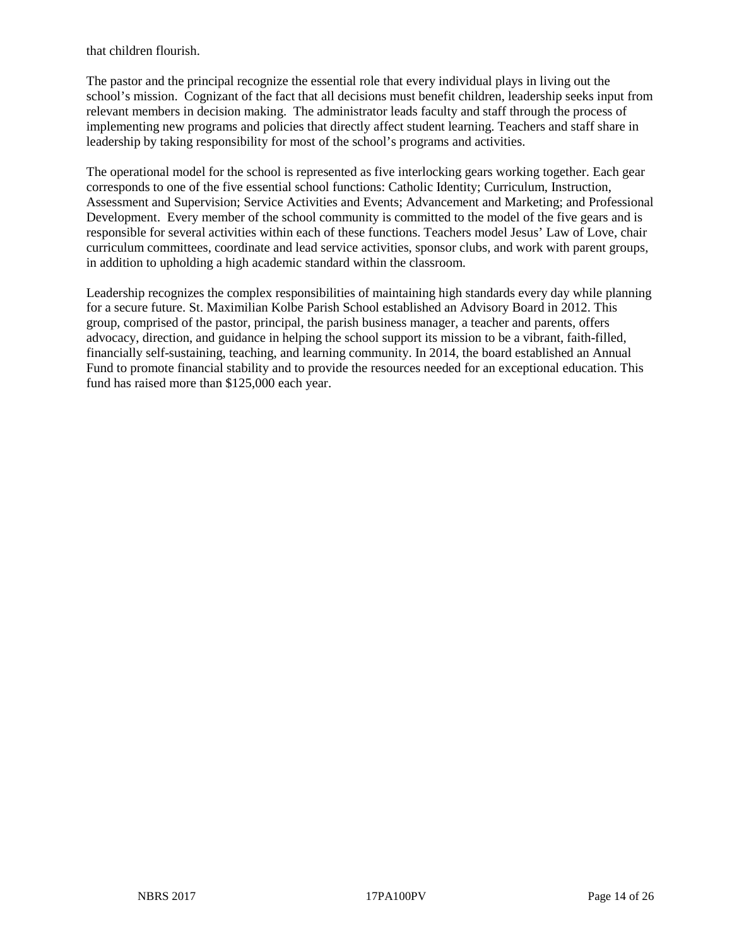that children flourish.

The pastor and the principal recognize the essential role that every individual plays in living out the school's mission. Cognizant of the fact that all decisions must benefit children, leadership seeks input from relevant members in decision making. The administrator leads faculty and staff through the process of implementing new programs and policies that directly affect student learning. Teachers and staff share in leadership by taking responsibility for most of the school's programs and activities.

The operational model for the school is represented as five interlocking gears working together. Each gear corresponds to one of the five essential school functions: Catholic Identity; Curriculum, Instruction, Assessment and Supervision; Service Activities and Events; Advancement and Marketing; and Professional Development. Every member of the school community is committed to the model of the five gears and is responsible for several activities within each of these functions. Teachers model Jesus' Law of Love, chair curriculum committees, coordinate and lead service activities, sponsor clubs, and work with parent groups, in addition to upholding a high academic standard within the classroom.

Leadership recognizes the complex responsibilities of maintaining high standards every day while planning for a secure future. St. Maximilian Kolbe Parish School established an Advisory Board in 2012. This group, comprised of the pastor, principal, the parish business manager, a teacher and parents, offers advocacy, direction, and guidance in helping the school support its mission to be a vibrant, faith-filled, financially self-sustaining, teaching, and learning community. In 2014, the board established an Annual Fund to promote financial stability and to provide the resources needed for an exceptional education. This fund has raised more than \$125,000 each year.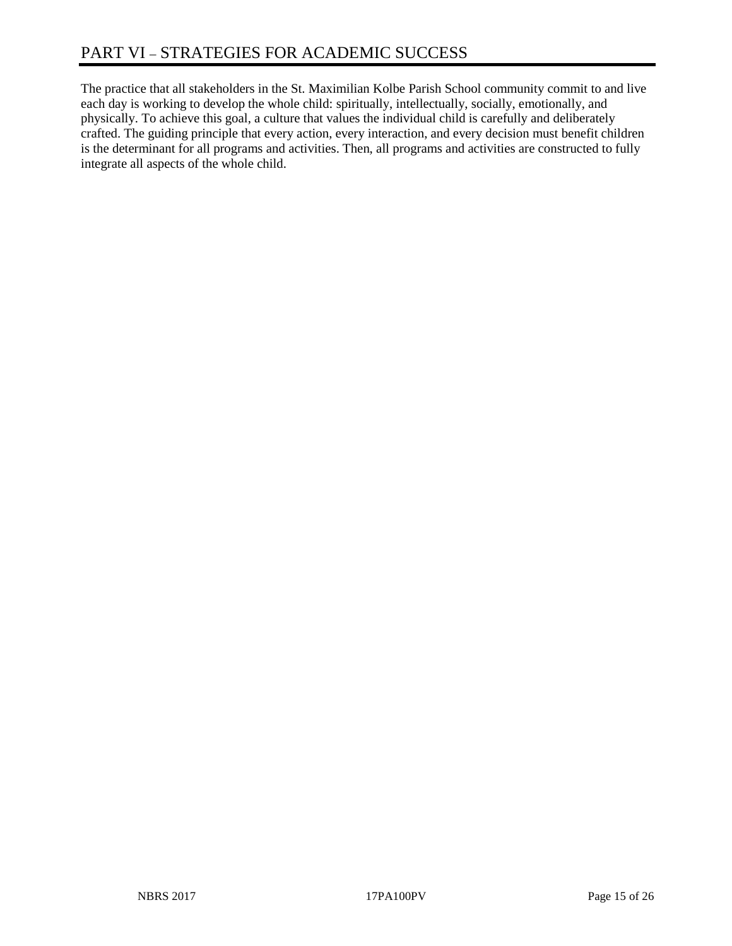The practice that all stakeholders in the St. Maximilian Kolbe Parish School community commit to and live each day is working to develop the whole child: spiritually, intellectually, socially, emotionally, and physically. To achieve this goal, a culture that values the individual child is carefully and deliberately crafted. The guiding principle that every action, every interaction, and every decision must benefit children is the determinant for all programs and activities. Then, all programs and activities are constructed to fully integrate all aspects of the whole child.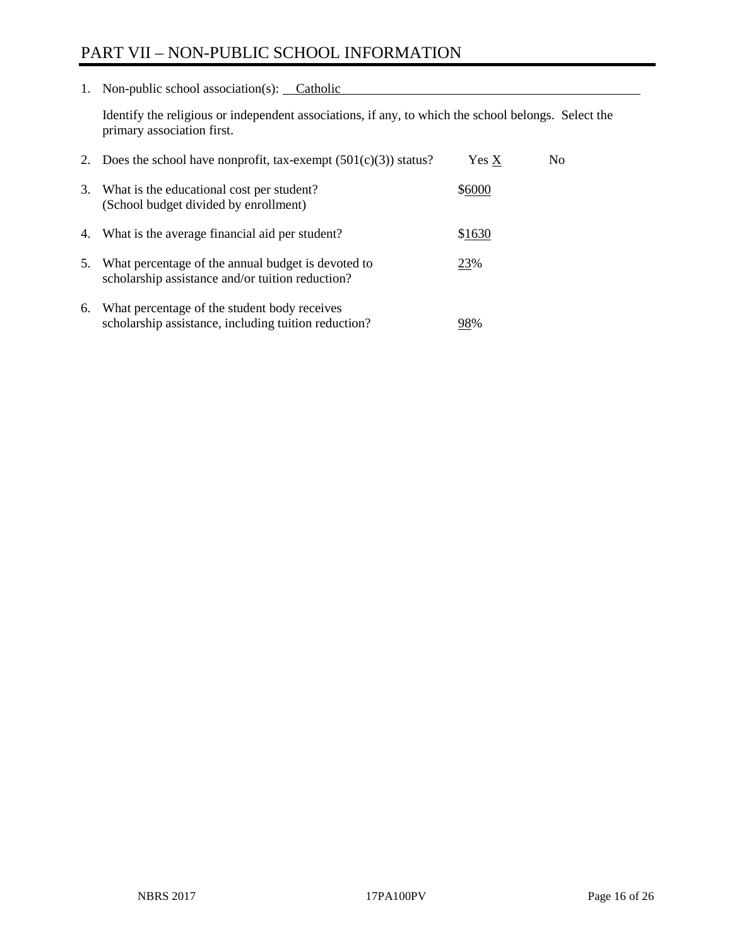# PART VII – NON-PUBLIC SCHOOL INFORMATION

1. Non-public school association(s): Catholic

Identify the religious or independent associations, if any, to which the school belongs. Select the primary association first.

| 2. | Does the school have nonprofit, tax-exempt $(501(c)(3))$ status?                                       | Yes X  | No. |
|----|--------------------------------------------------------------------------------------------------------|--------|-----|
| 3. | What is the educational cost per student?<br>(School budget divided by enrollment)                     | \$6000 |     |
| 4. | What is the average financial aid per student?                                                         | \$1630 |     |
| 5. | What percentage of the annual budget is devoted to<br>scholarship assistance and/or tuition reduction? | 23%    |     |
| 6. | What percentage of the student body receives<br>scholarship assistance, including tuition reduction?   | 98%    |     |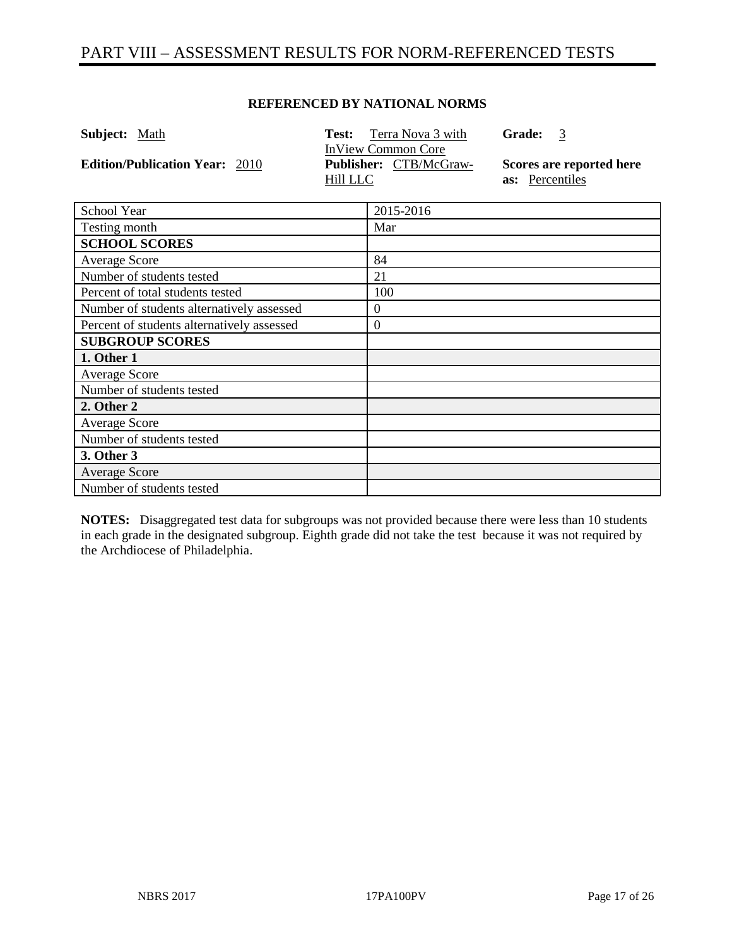# PART VIII – ASSESSMENT RESULTS FOR NORM-REFERENCED TESTS

## **REFERENCED BY NATIONAL NORMS**

| <b>Subject:</b> Math                  | <b>Test:</b> Terra Nova 3 with                                         | <b>Grade:</b><br>-3                                |
|---------------------------------------|------------------------------------------------------------------------|----------------------------------------------------|
| <b>Edition/Publication Year: 2010</b> | <b>InView Common Core</b><br><b>Publisher:</b> CTB/McGraw-<br>Hill LLC | Scores are reported here<br><b>as:</b> Percentiles |

| School Year                                | 2015-2016        |
|--------------------------------------------|------------------|
| Testing month                              | Mar              |
| <b>SCHOOL SCORES</b>                       |                  |
| <b>Average Score</b>                       | 84               |
| Number of students tested                  | 21               |
| Percent of total students tested           | 100              |
| Number of students alternatively assessed  | $\boldsymbol{0}$ |
| Percent of students alternatively assessed | $\boldsymbol{0}$ |
| <b>SUBGROUP SCORES</b>                     |                  |
| 1. Other 1                                 |                  |
| <b>Average Score</b>                       |                  |
| Number of students tested                  |                  |
| 2. Other 2                                 |                  |
| Average Score                              |                  |
| Number of students tested                  |                  |
| 3. Other 3                                 |                  |
| <b>Average Score</b>                       |                  |
| Number of students tested                  |                  |

**NOTES:** Disaggregated test data for subgroups was not provided because there were less than 10 students in each grade in the designated subgroup. Eighth grade did not take the test because it was not required by the Archdiocese of Philadelphia.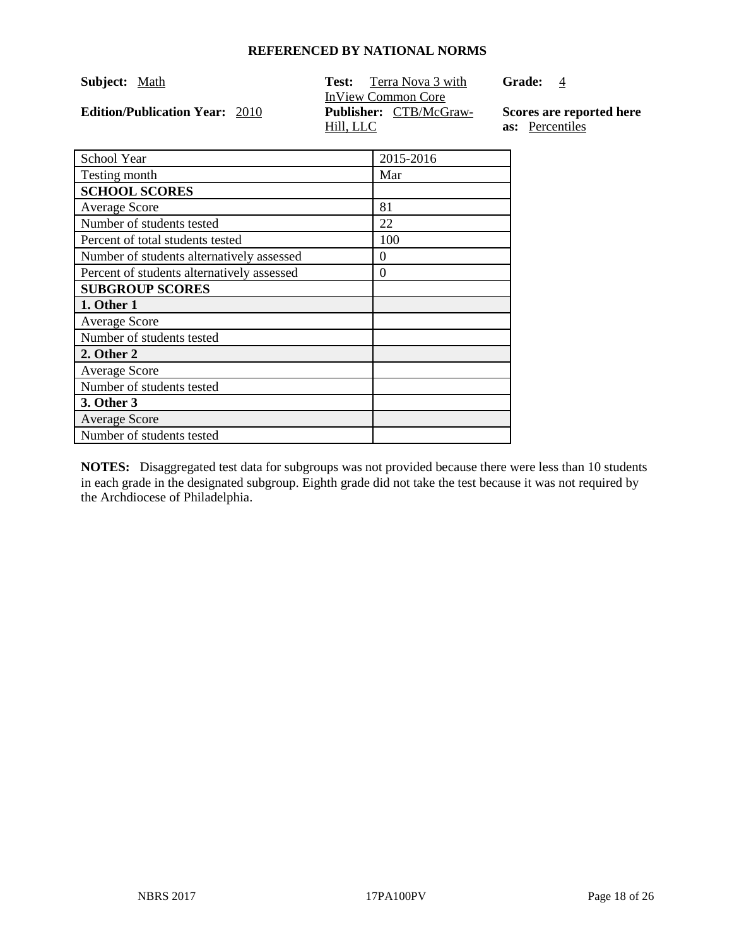|  | Subject: | Math |
|--|----------|------|
|--|----------|------|

**Edition/Publication Year: 2010** 

**Test:** Terra Nova 3 with InView Common Core<br>Publisher: CTB/McGraw-Hill, LLC

Grade: 4

**Scores are reported here as:** Percentiles

| School Year                                | 2015-2016 |
|--------------------------------------------|-----------|
| Testing month                              | Mar       |
| <b>SCHOOL SCORES</b>                       |           |
| <b>Average Score</b>                       | 81        |
| Number of students tested                  | 22        |
| Percent of total students tested           | 100       |
| Number of students alternatively assessed  | 0         |
| Percent of students alternatively assessed | $\theta$  |
| <b>SUBGROUP SCORES</b>                     |           |
| 1. Other 1                                 |           |
| <b>Average Score</b>                       |           |
| Number of students tested                  |           |
| 2. Other 2                                 |           |
| <b>Average Score</b>                       |           |
| Number of students tested                  |           |
| 3. Other 3                                 |           |
| <b>Average Score</b>                       |           |
| Number of students tested                  |           |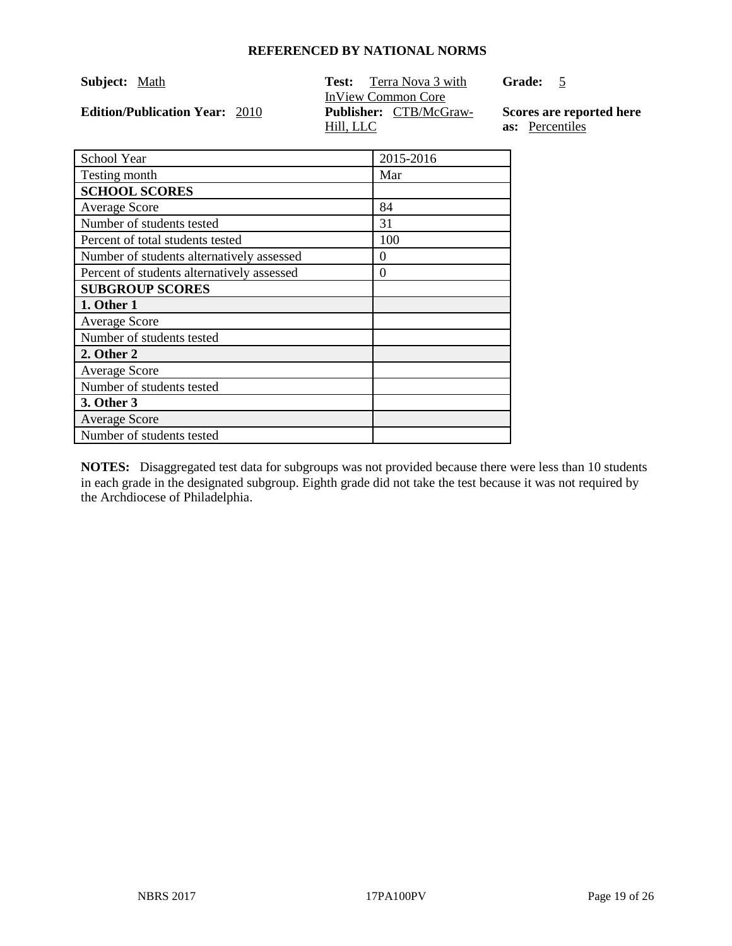**Edition/Publication Year: 2010** 

**Test:** Terra Nova 3 with InView Common Core<br>Publisher: CTB/McGraw-Hill, LLC

**Grade:** 5

**Scores are reported here as:** Percentiles

| School Year                                | 2015-2016 |
|--------------------------------------------|-----------|
| Testing month                              | Mar       |
| <b>SCHOOL SCORES</b>                       |           |
| <b>Average Score</b>                       | 84        |
| Number of students tested                  | 31        |
| Percent of total students tested           | 100       |
| Number of students alternatively assessed  | 0         |
| Percent of students alternatively assessed | 0         |
| <b>SUBGROUP SCORES</b>                     |           |
| 1. Other 1                                 |           |
| <b>Average Score</b>                       |           |
| Number of students tested                  |           |
| 2. Other 2                                 |           |
| <b>Average Score</b>                       |           |
| Number of students tested                  |           |
| 3. Other 3                                 |           |
| <b>Average Score</b>                       |           |
| Number of students tested                  |           |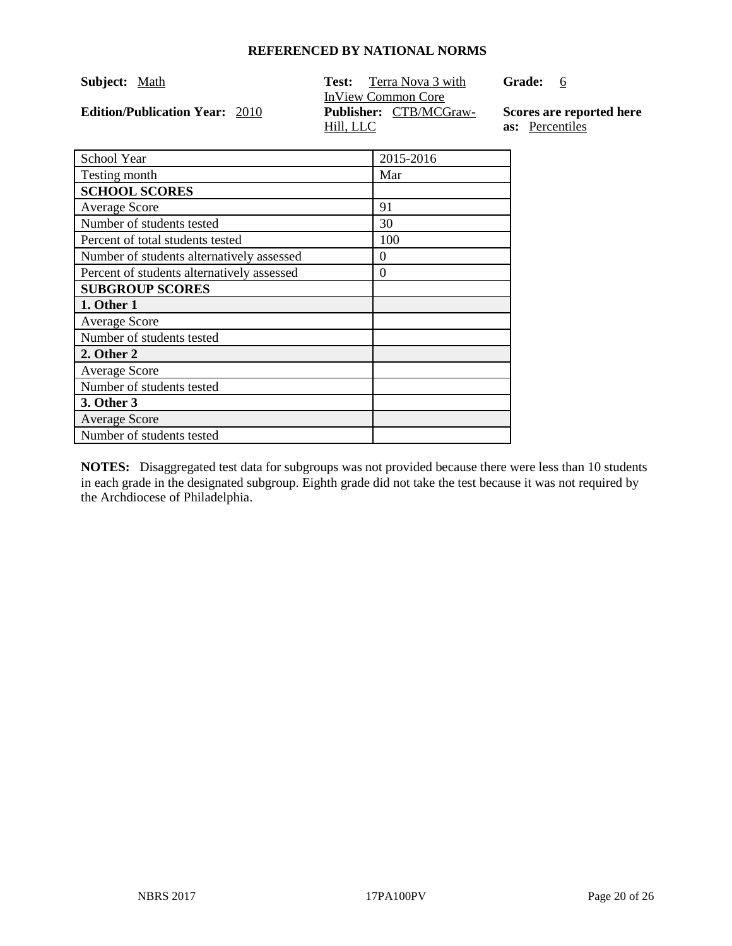| Subject: | Math |
|----------|------|
|          |      |

**Edition/Publication Year: 2010** 

**Test:** Terra Nova 3 with InView Common Core<br>Publisher: CTB/MCGraw-Hill, LLC

**Grade:** 6

**Scores are reported here as:** Percentiles

| School Year                                | 2015-2016 |
|--------------------------------------------|-----------|
| Testing month                              | Mar       |
| <b>SCHOOL SCORES</b>                       |           |
| <b>Average Score</b>                       | 91        |
| Number of students tested                  | 30        |
| Percent of total students tested           | 100       |
| Number of students alternatively assessed  | 0         |
| Percent of students alternatively assessed | $\theta$  |
| <b>SUBGROUP SCORES</b>                     |           |
| 1. Other 1                                 |           |
| <b>Average Score</b>                       |           |
| Number of students tested                  |           |
| 2. Other 2                                 |           |
| <b>Average Score</b>                       |           |
| Number of students tested                  |           |
| 3. Other 3                                 |           |
| <b>Average Score</b>                       |           |
| Number of students tested                  |           |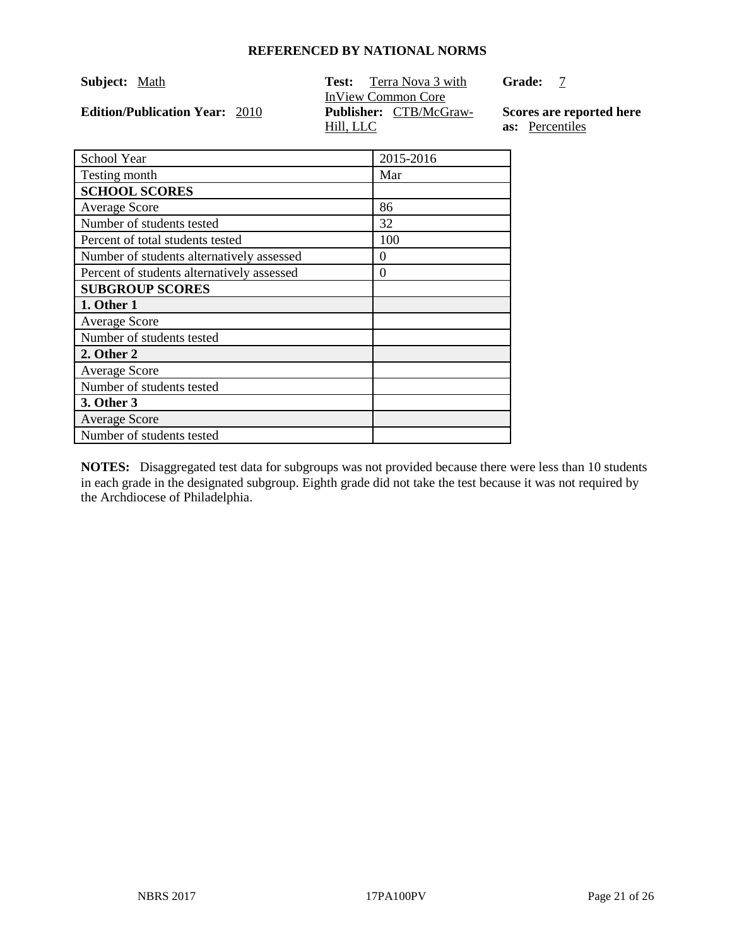| Subject: | Math |
|----------|------|
|          |      |

**Edition/Publication Year: 2010** 

**Test:** Terra Nova 3 with InView Common Core<br>Publisher: CTB/McGraw-Hill, LLC

**Grade:** 7

**Scores are reported here as:** Percentiles

| School Year                                | 2015-2016 |
|--------------------------------------------|-----------|
| Testing month                              | Mar       |
| <b>SCHOOL SCORES</b>                       |           |
| <b>Average Score</b>                       | 86        |
| Number of students tested                  | 32        |
| Percent of total students tested           | 100       |
| Number of students alternatively assessed  | $\theta$  |
| Percent of students alternatively assessed | $\theta$  |
| <b>SUBGROUP SCORES</b>                     |           |
| 1. Other 1                                 |           |
| <b>Average Score</b>                       |           |
| Number of students tested                  |           |
| 2. Other 2                                 |           |
| <b>Average Score</b>                       |           |
| Number of students tested                  |           |
| 3. Other 3                                 |           |
| <b>Average Score</b>                       |           |
| Number of students tested                  |           |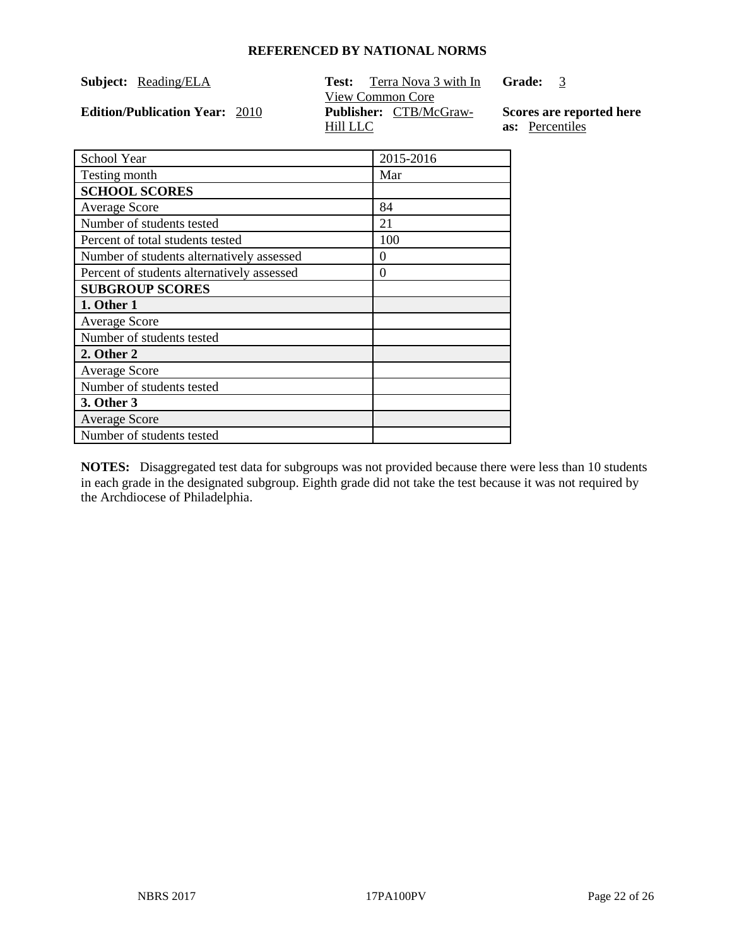| Subject: | Reading/ELA |
|----------|-------------|
|          |             |

**Edition/Publication Year: 2010** 

**Test:** Terra Nova 3 with In View Common Core<br>Publisher: CTB/McGraw-**Grade:** 3 Hill LLC

**Scores are reported here as:** Percentiles

| School Year                                | 2015-2016 |
|--------------------------------------------|-----------|
| Testing month                              | Mar       |
| <b>SCHOOL SCORES</b>                       |           |
| <b>Average Score</b>                       | 84        |
| Number of students tested                  | 21        |
| Percent of total students tested           | 100       |
| Number of students alternatively assessed  | $_{0}$    |
| Percent of students alternatively assessed | $\theta$  |
| <b>SUBGROUP SCORES</b>                     |           |
| 1. Other 1                                 |           |
| <b>Average Score</b>                       |           |
| Number of students tested                  |           |
| 2. Other 2                                 |           |
| <b>Average Score</b>                       |           |
| Number of students tested                  |           |
| 3. Other 3                                 |           |
| <b>Average Score</b>                       |           |
| Number of students tested                  |           |
|                                            |           |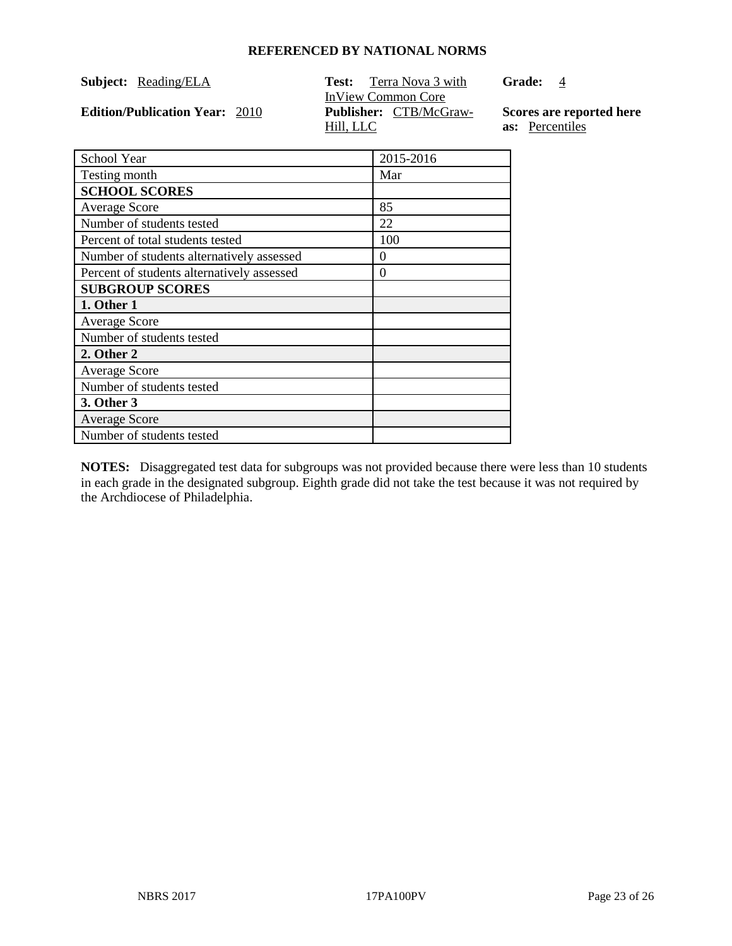| Subject: | Reading/ELA |
|----------|-------------|
|          |             |

**Edition/Publication Year: 2010** 

**Test:** Terra Nova 3 with InView Common Core<br>Publisher: CTB/McGraw-Hill, LLC

Grade: 4

**Scores are reported here as:** Percentiles

| School Year                                | 2015-2016 |
|--------------------------------------------|-----------|
| Testing month                              | Mar       |
| <b>SCHOOL SCORES</b>                       |           |
| <b>Average Score</b>                       | 85        |
| Number of students tested                  | 22        |
| Percent of total students tested           | 100       |
| Number of students alternatively assessed  | $\theta$  |
| Percent of students alternatively assessed | $\Omega$  |
| <b>SUBGROUP SCORES</b>                     |           |
| 1. Other 1                                 |           |
| <b>Average Score</b>                       |           |
| Number of students tested                  |           |
| 2. Other 2                                 |           |
| <b>Average Score</b>                       |           |
| Number of students tested                  |           |
| 3. Other 3                                 |           |
| <b>Average Score</b>                       |           |
| Number of students tested                  |           |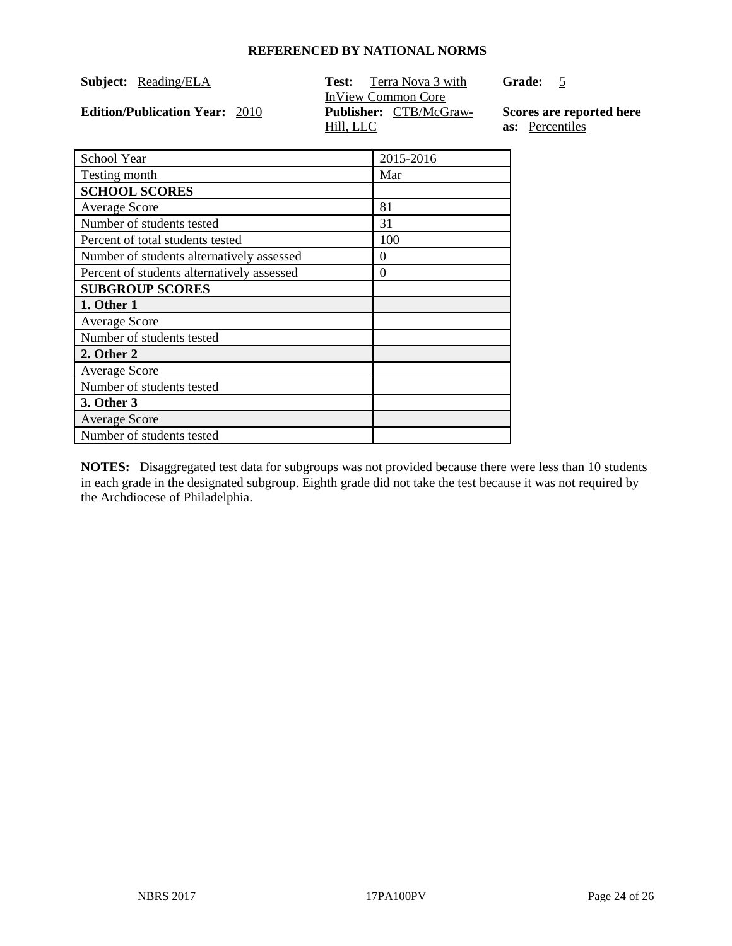| Subject: | Reading/ELA |
|----------|-------------|
|          |             |

**Edition/Publication Year: 2010** 

**Test:** Terra Nova 3 with InView Common Core<br>Publisher: CTB/McGraw-Hill, LLC

**Grade:** 5

**Scores are reported here as:** Percentiles

| School Year                                | 2015-2016 |
|--------------------------------------------|-----------|
| Testing month                              | Mar       |
| <b>SCHOOL SCORES</b>                       |           |
| <b>Average Score</b>                       | 81        |
| Number of students tested                  | 31        |
| Percent of total students tested           | 100       |
| Number of students alternatively assessed  | $\theta$  |
| Percent of students alternatively assessed | $\Omega$  |
| <b>SUBGROUP SCORES</b>                     |           |
| 1. Other 1                                 |           |
| <b>Average Score</b>                       |           |
| Number of students tested                  |           |
| 2. Other 2                                 |           |
| <b>Average Score</b>                       |           |
| Number of students tested                  |           |
| 3. Other 3                                 |           |
| <b>Average Score</b>                       |           |
| Number of students tested                  |           |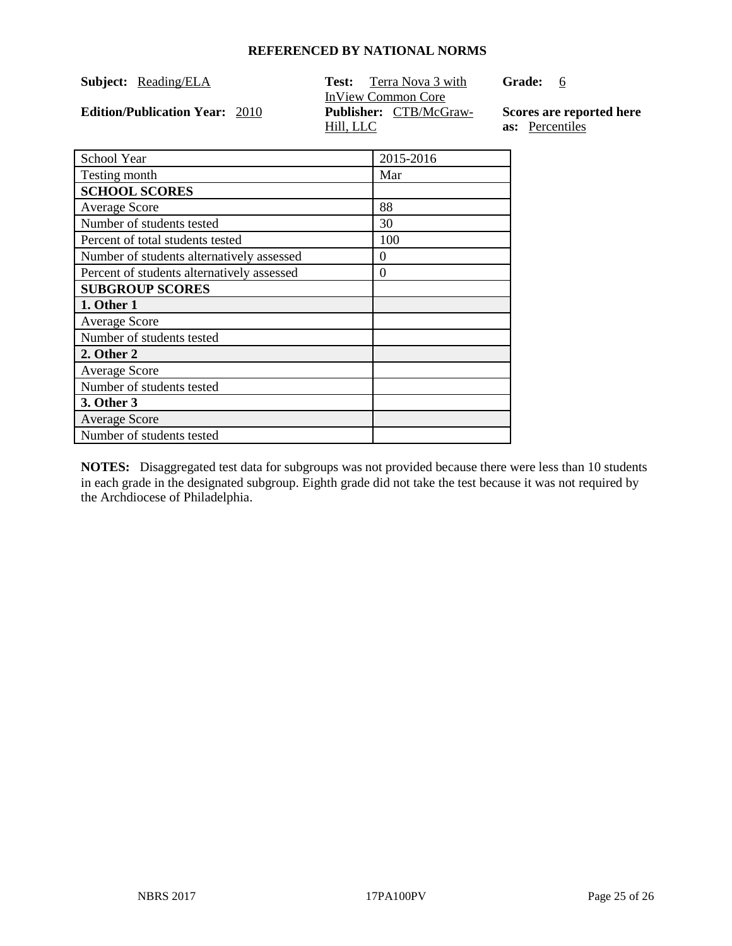| Subject: | Reading/ELA |
|----------|-------------|
|          |             |

**Edition/Publication Year: 2010** 

**Test:** Terra Nova 3 with InView Common Core<br>Publisher: CTB/McGraw-Hill, LLC

**Grade:** 6

**Scores are reported here as:** Percentiles

| School Year                                | 2015-2016 |
|--------------------------------------------|-----------|
| Testing month                              | Mar       |
| <b>SCHOOL SCORES</b>                       |           |
| <b>Average Score</b>                       | 88        |
| Number of students tested                  | 30        |
| Percent of total students tested           | 100       |
| Number of students alternatively assessed  | $\theta$  |
| Percent of students alternatively assessed | $\theta$  |
| <b>SUBGROUP SCORES</b>                     |           |
| 1. Other 1                                 |           |
| <b>Average Score</b>                       |           |
| Number of students tested                  |           |
| 2. Other 2                                 |           |
| <b>Average Score</b>                       |           |
| Number of students tested                  |           |
| 3. Other 3                                 |           |
| <b>Average Score</b>                       |           |
| Number of students tested                  |           |